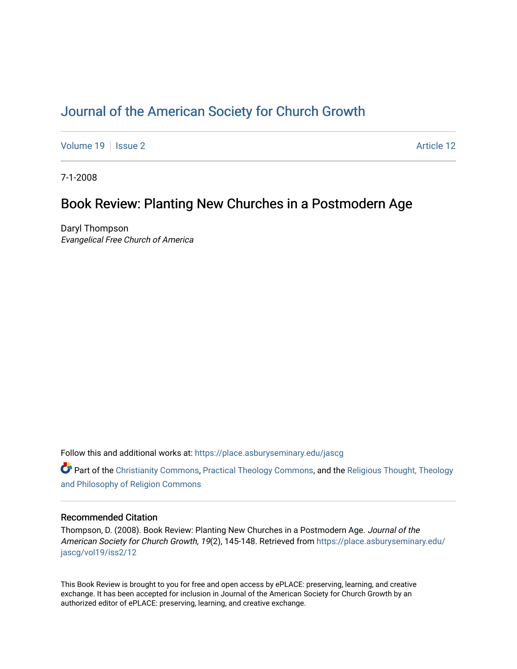# [Journal of the American Society for Church Growth](https://place.asburyseminary.edu/jascg)

[Volume 19](https://place.asburyseminary.edu/jascg/vol19) | [Issue 2](https://place.asburyseminary.edu/jascg/vol19/iss2) Article 12

7-1-2008

## Book Review: Planting New Churches in a Postmodern Age

Daryl Thompson Evangelical Free Church of America

Follow this and additional works at: [https://place.asburyseminary.edu/jascg](https://place.asburyseminary.edu/jascg?utm_source=place.asburyseminary.edu%2Fjascg%2Fvol19%2Fiss2%2F12&utm_medium=PDF&utm_campaign=PDFCoverPages)

 $\bullet$  Part of the [Christianity Commons,](https://network.bepress.com/hgg/discipline/1181?utm_source=place.asburyseminary.edu%2Fjascg%2Fvol19%2Fiss2%2F12&utm_medium=PDF&utm_campaign=PDFCoverPages) [Practical Theology Commons](https://network.bepress.com/hgg/discipline/1186?utm_source=place.asburyseminary.edu%2Fjascg%2Fvol19%2Fiss2%2F12&utm_medium=PDF&utm_campaign=PDFCoverPages), and the Religious Thought, Theology [and Philosophy of Religion Commons](https://network.bepress.com/hgg/discipline/544?utm_source=place.asburyseminary.edu%2Fjascg%2Fvol19%2Fiss2%2F12&utm_medium=PDF&utm_campaign=PDFCoverPages)

### Recommended Citation

Thompson, D. (2008). Book Review: Planting New Churches in a Postmodern Age. Journal of the American Society for Church Growth, 19(2), 145-148. Retrieved from [https://place.asburyseminary.edu/](https://place.asburyseminary.edu/jascg/vol19/iss2/12?utm_source=place.asburyseminary.edu%2Fjascg%2Fvol19%2Fiss2%2F12&utm_medium=PDF&utm_campaign=PDFCoverPages) [jascg/vol19/iss2/12](https://place.asburyseminary.edu/jascg/vol19/iss2/12?utm_source=place.asburyseminary.edu%2Fjascg%2Fvol19%2Fiss2%2F12&utm_medium=PDF&utm_campaign=PDFCoverPages) 

This Book Review is brought to you for free and open access by ePLACE: preserving, learning, and creative exchange. It has been accepted for inclusion in Journal of the American Society for Church Growth by an authorized editor of ePLACE: preserving, learning, and creative exchange.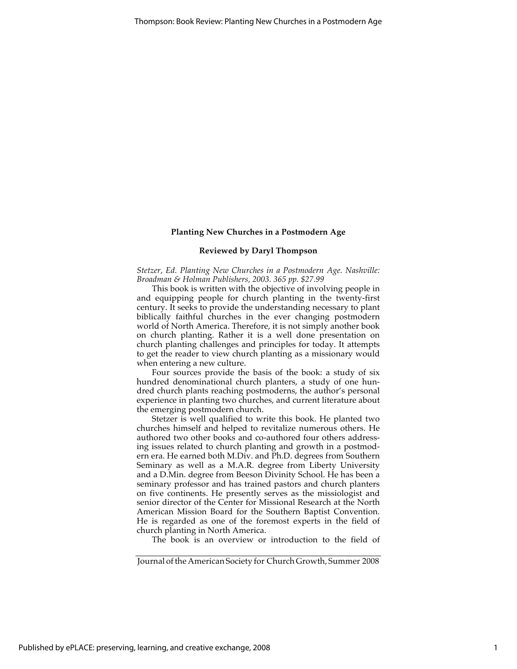#### **Planting New Churches in a Postmodern Age**

#### **Reviewed by Daryl Thompson**

*Stetzer, Ed. Planting New Churches in a Postmodern Age. Nashville: Broadman & Holman Publishers, 2003. 365 pp. \$27.99*

This book is written with the objective of involving people in and equipping people for church planting in the twenty-first century. It seeks to provide the understanding necessary to plant biblically faithful churches in the ever changing postmodern world of North America. Therefore, it is not simply another book on church planting. Rather it is a well done presentation on church planting challenges and principles for today. It attempts to get the reader to view church planting as a missionary would when entering a new culture.

Four sources provide the basis of the book: a study of six hundred denominational church planters, a study of one hundred church plants reaching postmoderns, the author's personal experience in planting two churches, and current literature about the emerging postmodern church.

Stetzer is well qualified to write this book. He planted two churches himself and helped to revitalize numerous others. He authored two other books and co-authored four others addressing issues related to church planting and growth in a postmodern era. He earned both M.Div. and Ph.D. degrees from Southern Seminary as well as a M.A.R. degree from Liberty University and a D.Min. degree from Beeson Divinity School. He has been a seminary professor and has trained pastors and church planters on five continents. He presently serves as the missiologist and senior director of the Center for Missional Research at the North American Mission Board for the Southern Baptist Convention. He is regarded as one of the foremost experts in the field of church planting in North America.

The book is an overview or introduction to the field of

Journal of the American Society for Church Growth, Summer 2008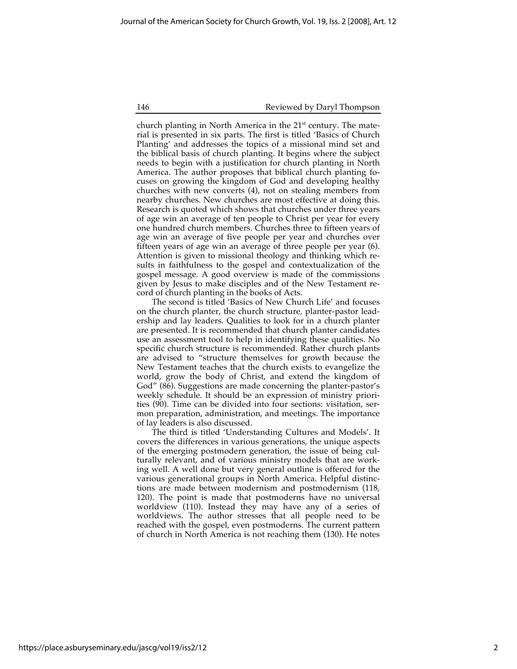146 Reviewed by Daryl Thompson

church planting in North America in the  $21<sup>st</sup>$  century. The material is presented in six parts. The first is titled 'Basics of Church Planting' and addresses the topics of a missional mind set and the biblical basis of church planting. It begins where the subject needs to begin with a justification for church planting in North America. The author proposes that biblical church planting focuses on growing the kingdom of God and developing healthy churches with new converts (4), not on stealing members from nearby churches. New churches are most effective at doing this. Research is quoted which shows that churches under three years of age win an average of ten people to Christ per year for every one hundred church members. Churches three to fifteen years of age win an average of five people per year and churches over fifteen years of age win an average of three people per year (6). Attention is given to missional theology and thinking which results in faithfulness to the gospel and contextualization of the gospel message. A good overview is made of the commissions given by Jesus to make disciples and of the New Testament record of church planting in the books of Acts.

The second is titled 'Basics of New Church Life' and focuses on the church planter, the church structure, planter-pastor leadership and lay leaders. Qualities to look for in a church planter are presented. It is recommended that church planter candidates use an assessment tool to help in identifying these qualities. No specific church structure is recommended. Rather church plants are advised to "structure themselves for growth because the New Testament teaches that the church exists to evangelize the world, grow the body of Christ, and extend the kingdom of God" (86). Suggestions are made concerning the planter-pastor's weekly schedule. It should be an expression of ministry priorities (90). Time can be divided into four sections: visitation, sermon preparation, administration, and meetings. The importance of lay leaders is also discussed.

The third is titled 'Understanding Cultures and Models'. It covers the differences in various generations, the unique aspects of the emerging postmodern generation, the issue of being culturally relevant, and of various ministry models that are working well. A well done but very general outline is offered for the various generational groups in North America. Helpful distinctions are made between modernism and postmodernism (118, 120). The point is made that postmoderns have no universal worldview (110). Instead they may have any of a series of worldviews. The author stresses that all people need to be reached with the gospel, even postmoderns. The current pattern of church in North America is not reaching them (130). He notes

https://place.asburyseminary.edu/jascg/vol19/iss2/12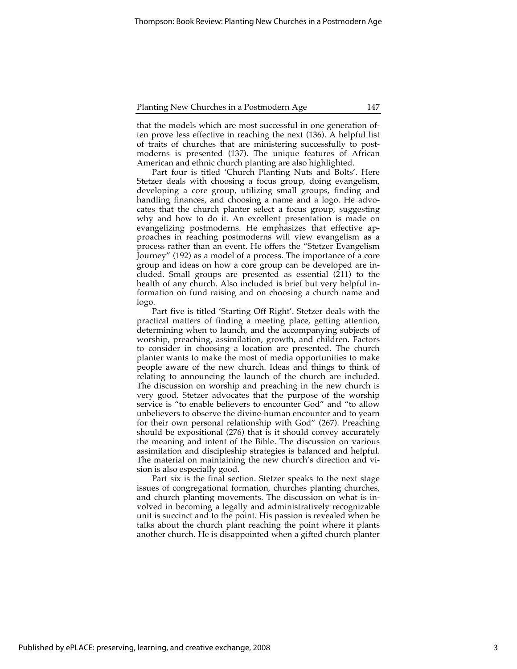#### Planting New Churches in a Postmodern Age 147

that the models which are most successful in one generation often prove less effective in reaching the next (136). A helpful list of traits of churches that are ministering successfully to postmoderns is presented (137). The unique features of African American and ethnic church planting are also highlighted.

Part four is titled 'Church Planting Nuts and Bolts'. Here Stetzer deals with choosing a focus group, doing evangelism, developing a core group, utilizing small groups, finding and handling finances, and choosing a name and a logo. He advocates that the church planter select a focus group, suggesting why and how to do it. An excellent presentation is made on evangelizing postmoderns. He emphasizes that effective approaches in reaching postmoderns will view evangelism as a process rather than an event. He offers the "Stetzer Evangelism Journey" (192) as a model of a process. The importance of a core group and ideas on how a core group can be developed are included. Small groups are presented as essential  $(211)$  to the health of any church. Also included is brief but very helpful information on fund raising and on choosing a church name and logo.

Part five is titled 'Starting Off Right'. Stetzer deals with the practical matters of finding a meeting place, getting attention, determining when to launch, and the accompanying subjects of worship, preaching, assimilation, growth, and children. Factors to consider in choosing a location are presented. The church planter wants to make the most of media opportunities to make people aware of the new church. Ideas and things to think of relating to announcing the launch of the church are included. The discussion on worship and preaching in the new church is very good. Stetzer advocates that the purpose of the worship service is "to enable believers to encounter God" and "to allow unbelievers to observe the divine-human encounter and to yearn for their own personal relationship with God" (267). Preaching should be expositional (276) that is it should convey accurately the meaning and intent of the Bible. The discussion on various assimilation and discipleship strategies is balanced and helpful. The material on maintaining the new church's direction and vision is also especially good.

Part six is the final section. Stetzer speaks to the next stage issues of congregational formation, churches planting churches, and church planting movements. The discussion on what is involved in becoming a legally and administratively recognizable unit is succinct and to the point. His passion is revealed when he talks about the church plant reaching the point where it plants another church. He is disappointed when a gifted church planter